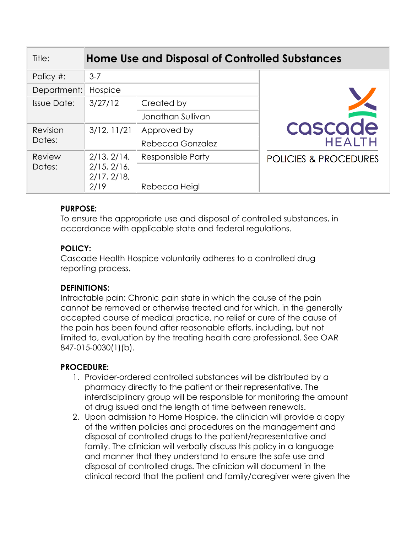| Title:             |                                    | <b>Home Use and Disposal of Controlled Substances</b> |                                  |
|--------------------|------------------------------------|-------------------------------------------------------|----------------------------------|
| Policy #:          | $3 - 7$                            |                                                       |                                  |
| Department:        | Hospice                            |                                                       |                                  |
| <b>Issue Date:</b> | 3/27/12                            | Created by                                            |                                  |
|                    |                                    | Jonathan Sullivan                                     |                                  |
| Revision<br>Dates: | 3/12, 11/21                        | Approved by                                           | cascade                          |
|                    |                                    | Rebecca Gonzalez                                      | <b>HEALTH</b>                    |
| Review<br>Dates:   | 2/13, 2/14,                        | Responsible Party                                     | <b>POLICIES &amp; PROCEDURES</b> |
|                    | 2/15, 2/16,<br>2/17, 2/18,<br>2/19 | Rebecca Heigl                                         |                                  |

# **PURPOSE:**

To ensure the appropriate use and disposal of controlled substances, in accordance with applicable state and federal regulations.

# **POLICY:**

Cascade Health Hospice voluntarily adheres to a controlled drug reporting process.

# **DEFINITIONS:**

Intractable pain: Chronic pain state in which the cause of the pain cannot be removed or otherwise treated and for which, in the generally accepted course of medical practice, no relief or cure of the cause of the pain has been found after reasonable efforts, including, but not limited to, evaluation by the treating health care professional. See OAR 847-015-0030(1)(b).

### **PROCEDURE:**

- 1. Provider-ordered controlled substances will be distributed by a pharmacy directly to the patient or their representative. The interdisciplinary group will be responsible for monitoring the amount of drug issued and the length of time between renewals.
- 2. Upon admission to Home Hospice, the clinician will provide a copy of the written policies and procedures on the management and disposal of controlled drugs to the patient/representative and family. The clinician will verbally discuss this policy in a language and manner that they understand to ensure the safe use and disposal of controlled drugs. The clinician will document in the clinical record that the patient and family/caregiver were given the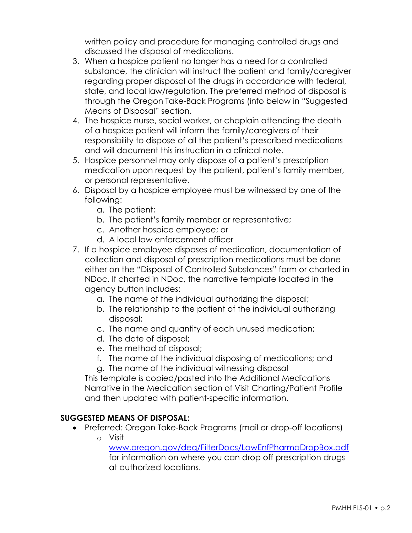written policy and procedure for managing controlled drugs and discussed the disposal of medications.

- 3. When a hospice patient no longer has a need for a controlled substance, the clinician will instruct the patient and family/caregiver regarding proper disposal of the drugs in accordance with federal, state, and local law/regulation. The preferred method of disposal is through the Oregon Take-Back Programs (info below in "Suggested Means of Disposal" section.
- 4. The hospice nurse, social worker, or chaplain attending the death of a hospice patient will inform the family/caregivers of their responsibility to dispose of all the patient's prescribed medications and will document this instruction in a clinical note.
- 5. Hospice personnel may only dispose of a patient's prescription medication upon request by the patient, patient's family member, or personal representative.
- 6. Disposal by a hospice employee must be witnessed by one of the following:
	- a. The patient;
	- b. The patient's family member or representative;
	- c. Another hospice employee; or
	- d. A local law enforcement officer
- 7. If a hospice employee disposes of medication, documentation of collection and disposal of prescription medications must be done either on the "Disposal of Controlled Substances" form or charted in NDoc. If charted in NDoc, the narrative template located in the agency button includes:
	- a. The name of the individual authorizing the disposal;
	- b. The relationship to the patient of the individual authorizing disposal;
	- c. The name and quantity of each unused medication;
	- d. The date of disposal;
	- e. The method of disposal;
	- f. The name of the individual disposing of medications; and
	- g. The name of the individual witnessing disposal

This template is copied/pasted into the Additional Medications Narrative in the Medication section of Visit Charting/Patient Profile and then updated with patient-specific information.

### **SUGGESTED MEANS OF DISPOSAL:**

- Preferred: Oregon Take-Back Programs (mail or drop-off locations)
	- o Visit

[www.oregon.gov/deq/FilterDocs/LawEnfPharmaDropBox.pdf](http://www.oregon.gov/deq/FilterDocs/LawEnfPharmaDropBox.pdf) for information on where you can drop off prescription drugs at authorized locations.